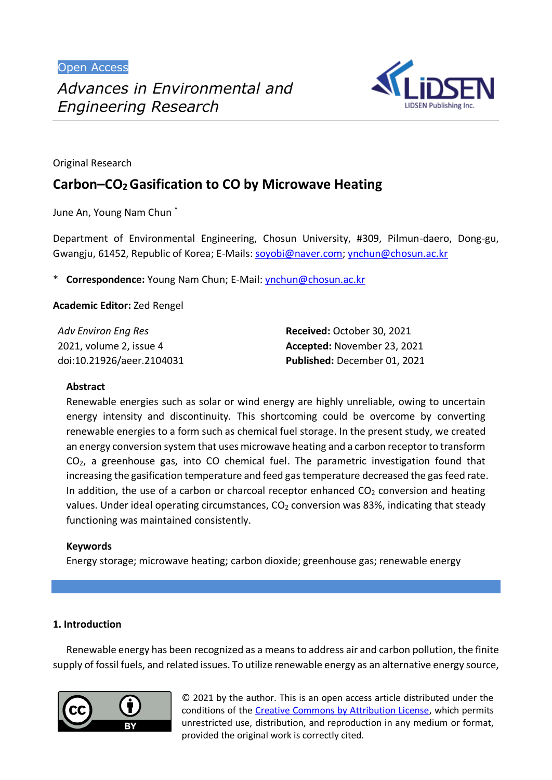Open Access



Original Research

# **Carbon–CO2 Gasification to CO by Microwave Heating**

June An, Young Nam Chun \*

Department of Environmental Engineering, Chosun University, #309, Pilmun-daero, Dong-gu, Gwangju, 61452, Republic of Korea; E-Mails[: soyobi@naver.com;](mailto:soyobi@naver.com) [ynchun@chosun.ac.kr](mailto:ynchun@chosun.ac.kr)

\* **Correspondence:** Young Nam Chun; E-Mail: [ynchun@chosun.ac.kr](mailto:ynchun@chosun.ac.kr)

**Academic Editor:** Zed Rengel

| Adv Environ Eng Res       | Received: October 30, 2021   |
|---------------------------|------------------------------|
| 2021, volume 2, issue 4   | Accepted: November 23, 2021  |
| doi:10.21926/aeer.2104031 | Published: December 01, 2021 |

## **Abstract**

Renewable energies such as solar or wind energy are highly unreliable, owing to uncertain energy intensity and discontinuity. This shortcoming could be overcome by converting renewable energies to a form such as chemical fuel storage. In the present study, we created an energy conversion system that uses microwave heating and a carbon receptor to transform CO2, a greenhouse gas, into CO chemical fuel. The parametric investigation found that increasing the gasification temperature and feed gas temperature decreased the gas feed rate. In addition, the use of a carbon or charcoal receptor enhanced  $CO<sub>2</sub>$  conversion and heating values. Under ideal operating circumstances,  $CO<sub>2</sub>$  conversion was 83%, indicating that steady functioning was maintained consistently.

## **Keywords**

Energy storage; microwave heating; carbon dioxide; greenhouse gas; renewable energy

## **1. Introduction**

Renewable energy has been recognized as a means to address air and carbon pollution, the finite supply of fossil fuels, and related issues. To utilize renewable energy as an alternative energy source,



© 2021 by the author. This is an open access article distributed under the conditions of the [Creative Commons by Attribution License,](http://creativecommons.org/licenses/by/4.0/) which permits unrestricted use, distribution, and reproduction in any medium or format, provided the original work is correctly cited.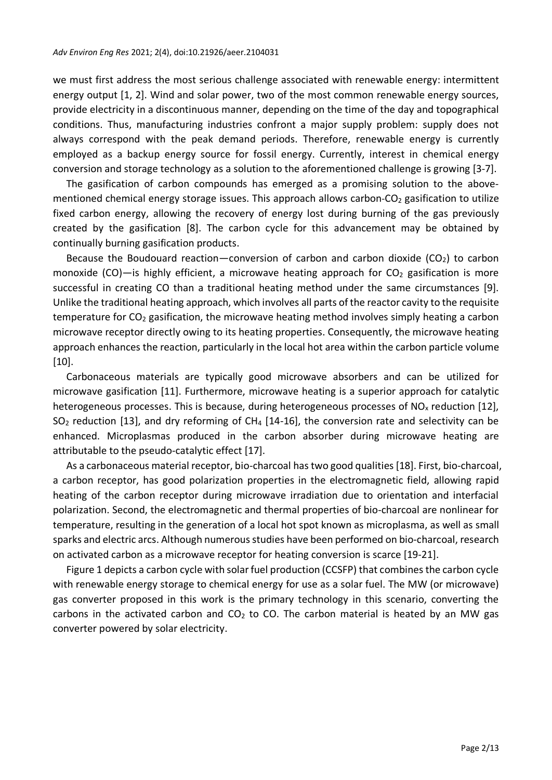we must first address the most serious challenge associated with renewable energy: intermittent energy output [1, 2]. Wind and solar power, two of the most common renewable energy sources, provide electricity in a discontinuous manner, depending on the time of the day and topographical conditions. Thus, manufacturing industries confront a major supply problem: supply does not always correspond with the peak demand periods. Therefore, renewable energy is currently employed as a backup energy source for fossil energy. Currently, interest in chemical energy conversion and storage technology as a solution to the aforementioned challenge is growing [3-7].

The gasification of carbon compounds has emerged as a promising solution to the abovementioned chemical energy storage issues. This approach allows carbon- $CO<sub>2</sub>$  gasification to utilize fixed carbon energy, allowing the recovery of energy lost during burning of the gas previously created by the gasification [8]. The carbon cycle for this advancement may be obtained by continually burning gasification products.

Because the Boudouard reaction—conversion of carbon and carbon dioxide ( $CO<sub>2</sub>$ ) to carbon monoxide (CO)—is highly efficient, a microwave heating approach for  $CO<sub>2</sub>$  gasification is more successful in creating CO than a traditional heating method under the same circumstances [9]. Unlike the traditional heating approach, which involves all parts of the reactor cavity to the requisite temperature for  $CO<sub>2</sub>$  gasification, the microwave heating method involves simply heating a carbon microwave receptor directly owing to its heating properties. Consequently, the microwave heating approach enhances the reaction, particularly in the local hot area within the carbon particle volume [10].

Carbonaceous materials are typically good microwave absorbers and can be utilized for microwave gasification [11]. Furthermore, microwave heating is a superior approach for catalytic heterogeneous processes. This is because, during heterogeneous processes of  $NO<sub>x</sub>$  reduction [12],  $SO<sub>2</sub>$  reduction [13], and dry reforming of CH<sub>4</sub> [14-16], the conversion rate and selectivity can be enhanced. Microplasmas produced in the carbon absorber during microwave heating are attributable to the pseudo-catalytic effect [17].

As a carbonaceous material receptor, bio-charcoal hastwo good qualities [18]. First, bio-charcoal, a carbon receptor, has good polarization properties in the electromagnetic field, allowing rapid heating of the carbon receptor during microwave irradiation due to orientation and interfacial polarization. Second, the electromagnetic and thermal properties of bio-charcoal are nonlinear for temperature, resulting in the generation of a local hot spot known as microplasma, as well as small sparks and electric arcs. Although numerous studies have been performed on bio-charcoal, research on activated carbon as a microwave receptor for heating conversion is scarce [19-21].

Figure 1 depicts a carbon cycle with solar fuel production (CCSFP) that combines the carbon cycle with renewable energy storage to chemical energy for use as a solar fuel. The MW (or microwave) gas converter proposed in this work is the primary technology in this scenario, converting the carbons in the activated carbon and  $CO<sub>2</sub>$  to CO. The carbon material is heated by an MW gas converter powered by solar electricity.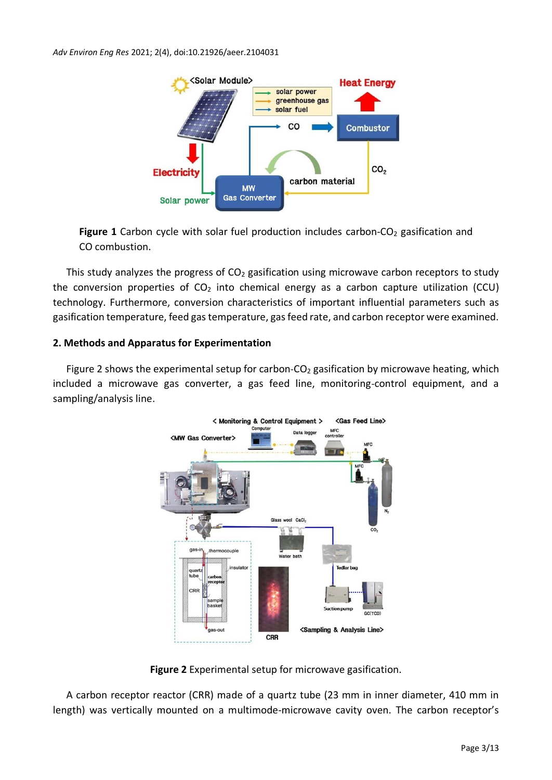

Figure 1 Carbon cycle with solar fuel production includes carbon-CO<sub>2</sub> gasification and CO combustion.

This study analyzes the progress of  $CO<sub>2</sub>$  gasification using microwave carbon receptors to study the conversion properties of  $CO<sub>2</sub>$  into chemical energy as a carbon capture utilization (CCU) technology. Furthermore, conversion characteristics of important influential parameters such as gasification temperature, feed gas temperature, gas feed rate, and carbon receptor were examined.

## **2. Methods and Apparatus for Experimentation**

Figure 2 shows the experimental setup for carbon- $CO<sub>2</sub>$  gasification by microwave heating, which included a microwave gas converter, a gas feed line, monitoring-control equipment, and a sampling/analysis line.



**Figure 2** Experimental setup for microwave gasification.

A carbon receptor reactor (CRR) made of a quartz tube (23 mm in inner diameter, 410 mm in length) was vertically mounted on a multimode-microwave cavity oven. The carbon receptor's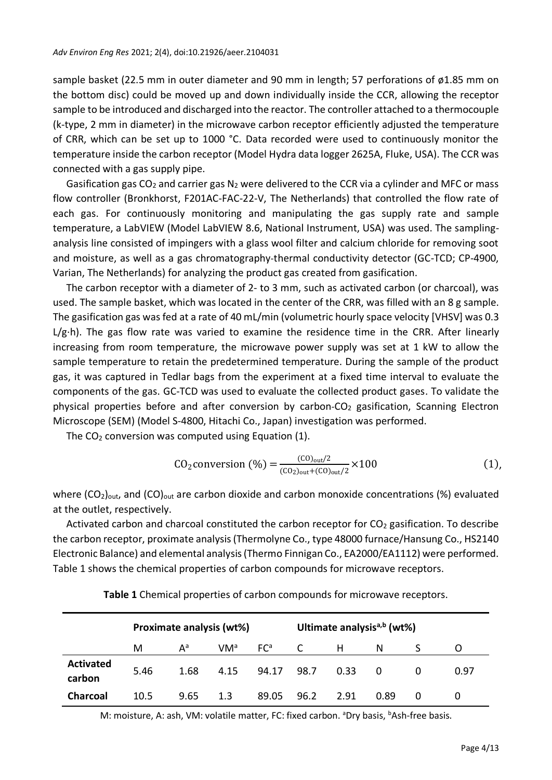sample basket (22.5 mm in outer diameter and 90 mm in length; 57 perforations of ø1.85 mm on the bottom disc) could be moved up and down individually inside the CCR, allowing the receptor sample to be introduced and discharged into the reactor. The controller attached to a thermocouple (k-type, 2 mm in diameter) in the microwave carbon receptor efficiently adjusted the temperature of CRR, which can be set up to 1000 °C. Data recorded were used to continuously monitor the temperature inside the carbon receptor (Model Hydra data logger 2625A, Fluke, USA). The CCR was connected with a gas supply pipe.

Gasification gas  $CO<sub>2</sub>$  and carrier gas  $N<sub>2</sub>$  were delivered to the CCR via a cylinder and MFC or mass flow controller (Bronkhorst, F201AC-FAC-22-V, The Netherlands) that controlled the flow rate of each gas. For continuously monitoring and manipulating the gas supply rate and sample temperature, a LabVIEW (Model LabVIEW 8.6, National Instrument, USA) was used. The samplinganalysis line consisted of impingers with a glass wool filter and calcium chloride for removing soot and moisture, as well as a gas chromatography-thermal conductivity detector (GC-TCD; CP-4900, Varian, The Netherlands) for analyzing the product gas created from gasification.

The carbon receptor with a diameter of 2- to 3 mm, such as activated carbon (or charcoal), was used. The sample basket, which was located in the center of the CRR, was filled with an 8 g sample. The gasification gas was fed at a rate of 40 mL/min (volumetric hourly space velocity [VHSV] was 0.3 L/g·h). The gas flow rate was varied to examine the residence time in the CRR. After linearly increasing from room temperature, the microwave power supply was set at 1 kW to allow the sample temperature to retain the predetermined temperature. During the sample of the product gas, it was captured in Tedlar bags from the experiment at a fixed time interval to evaluate the components of the gas. GC-TCD was used to evaluate the collected product gases. To validate the physical properties before and after conversion by carbon- $CO<sub>2</sub>$  gasification, Scanning Electron Microscope (SEM) (Model S-4800, Hitachi Co., Japan) investigation was performed.

The  $CO<sub>2</sub>$  conversion was computed using Equation (1).

$$
CO_2 \text{conversion } (\%) = \frac{^{(CO)}_{\text{out}}/2}{^{(CO)}_{\text{out}} + ^{(CO)}_{\text{out}}/2} \times 100 \tag{1}
$$

where  $(CO_2)_{\text{out}}$ , and  $(CO)_{\text{out}}$  are carbon dioxide and carbon monoxide concentrations (%) evaluated at the outlet, respectively.

Activated carbon and charcoal constituted the carbon receptor for  $CO<sub>2</sub>$  gasification. To describe the carbon receptor, proximate analysis (Thermolyne Co., type 48000 furnace/Hansung Co., HS2140 Electronic Balance) and elemental analysis (Thermo Finnigan Co., EA2000/EA1112) were performed. Table 1 shows the chemical properties of carbon compounds for microwave receptors.

|                            | Proximate analysis (wt%) |       |                 |                 | Ultimate analysis <sup>a,b</sup> (wt%) |      |      |   |      |
|----------------------------|--------------------------|-------|-----------------|-----------------|----------------------------------------|------|------|---|------|
|                            | м                        | $A^a$ | VM <sup>a</sup> | FC <sup>a</sup> | C                                      | н    | N    |   |      |
| <b>Activated</b><br>carbon | 5.46                     | 1.68  | 4.15            | 94.17           | 98.7                                   | 0.33 | 0    |   | 0.97 |
| <b>Charcoal</b>            | 10.5                     | 9.65  | 1.3             | 89.05           | 96.2                                   | 2.91 | 0.89 | 0 |      |

**Table 1** Chemical properties of carbon compounds for microwave receptors.

M: moisture, A: ash, VM: volatile matter, FC: fixed carbon. <sup>a</sup>Dry basis, <sup>b</sup>Ash-free basis.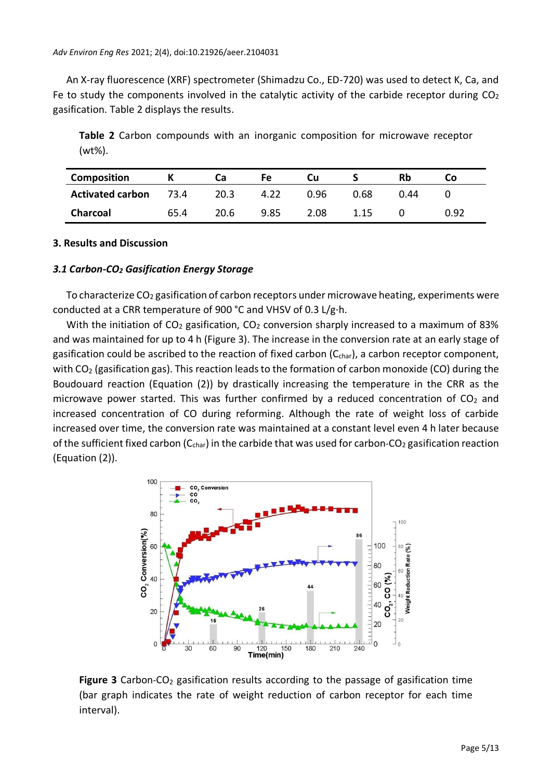An X-ray fluorescence (XRF) spectrometer (Shimadzu Co., ED-720) was used to detect K, Ca, and Fe to study the components involved in the catalytic activity of the carbide receptor during  $CO<sub>2</sub>$ gasification. Table 2 displays the results.

**Table 2** Carbon compounds with an inorganic composition for microwave receptor (wt%).

| <b>Composition</b>      |      | Сa   | Fe   | Cu   |      |      | Сo   |
|-------------------------|------|------|------|------|------|------|------|
| <b>Activated carbon</b> | 73.4 | 20.3 | 4.22 | በ.ዓ6 | 0.68 | J 44 |      |
| Charcoal                | 65.4 | 20.6 | 9.85 | 2.08 | 1.15 |      | 0.92 |

#### **3. Results and Discussion**

#### *3.1 Carbon-CO<sup>2</sup> Gasification Energy Storage*

To characterize  $CO<sub>2</sub>$  gasification of carbon receptors under microwave heating, experiments were conducted at a CRR temperature of 900 °C and VHSV of 0.3 L/g·h.

With the initiation of  $CO<sub>2</sub>$  gasification,  $CO<sub>2</sub>$  conversion sharply increased to a maximum of 83% and was maintained for up to 4 h (Figure 3). The increase in the conversion rate at an early stage of gasification could be ascribed to the reaction of fixed carbon (C<sub>char</sub>), a carbon receptor component, with  $CO<sub>2</sub>$  (gasification gas). This reaction leads to the formation of carbon monoxide (CO) during the Boudouard reaction (Equation (2)) by drastically increasing the temperature in the CRR as the microwave power started. This was further confirmed by a reduced concentration of  $CO<sub>2</sub>$  and increased concentration of CO during reforming. Although the rate of weight loss of carbide increased over time, the conversion rate was maintained at a constant level even 4 h later because of the sufficient fixed carbon ( $C_{char}$ ) in the carbide that was used for carbon-CO<sub>2</sub> gasification reaction (Equation (2)).



**Figure 3** Carbon-CO<sub>2</sub> gasification results according to the passage of gasification time (bar graph indicates the rate of weight reduction of carbon receptor for each time interval).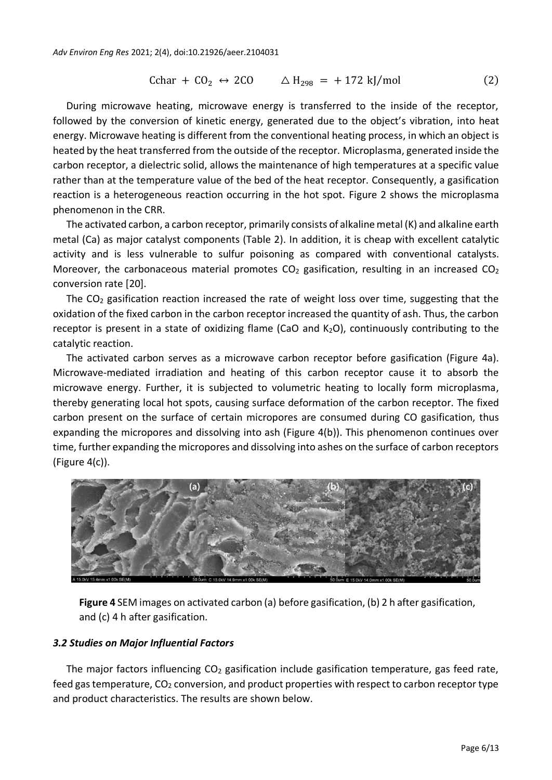$$
\text{Cchar} + \text{CO}_2 \leftrightarrow 2\text{CO} \qquad \triangle H_{298} = +172 \text{ kJ/mol} \tag{2}
$$

During microwave heating, microwave energy is transferred to the inside of the receptor, followed by the conversion of kinetic energy, generated due to the object's vibration, into heat energy. Microwave heating is different from the conventional heating process, in which an object is heated by the heat transferred from the outside of the receptor. Microplasma, generated inside the carbon receptor, a dielectric solid, allows the maintenance of high temperatures at a specific value rather than at the temperature value of the bed of the heat receptor. Consequently, a gasification reaction is a heterogeneous reaction occurring in the hot spot. Figure 2 shows the microplasma phenomenon in the CRR.

The activated carbon, a carbon receptor, primarily consists of alkaline metal (K) and alkaline earth metal (Ca) as major catalyst components (Table 2). In addition, it is cheap with excellent catalytic activity and is less vulnerable to sulfur poisoning as compared with conventional catalysts. Moreover, the carbonaceous material promotes  $CO<sub>2</sub>$  gasification, resulting in an increased  $CO<sub>2</sub>$ conversion rate [20].

The  $CO<sub>2</sub>$  gasification reaction increased the rate of weight loss over time, suggesting that the oxidation of the fixed carbon in the carbon receptor increased the quantity of ash. Thus, the carbon receptor is present in a state of oxidizing flame (CaO and  $K_2O$ ), continuously contributing to the catalytic reaction.

The activated carbon serves as a microwave carbon receptor before gasification (Figure 4a). Microwave-mediated irradiation and heating of this carbon receptor cause it to absorb the microwave energy. Further, it is subjected to volumetric heating to locally form microplasma, thereby generating local hot spots, causing surface deformation of the carbon receptor. The fixed carbon present on the surface of certain micropores are consumed during CO gasification, thus expanding the micropores and dissolving into ash (Figure 4(b)). This phenomenon continues over time, further expanding the micropores and dissolving into ashes on the surface of carbon receptors (Figure 4(c)).



**Figure 4** SEM images on activated carbon (a) before gasification, (b) 2 h after gasification, and (c) 4 h after gasification.

## *3.2 Studies on Major Influential Factors*

The major factors influencing  $CO<sub>2</sub>$  gasification include gasification temperature, gas feed rate, feed gas temperature, CO<sub>2</sub> conversion, and product properties with respect to carbon receptor type and product characteristics. The results are shown below.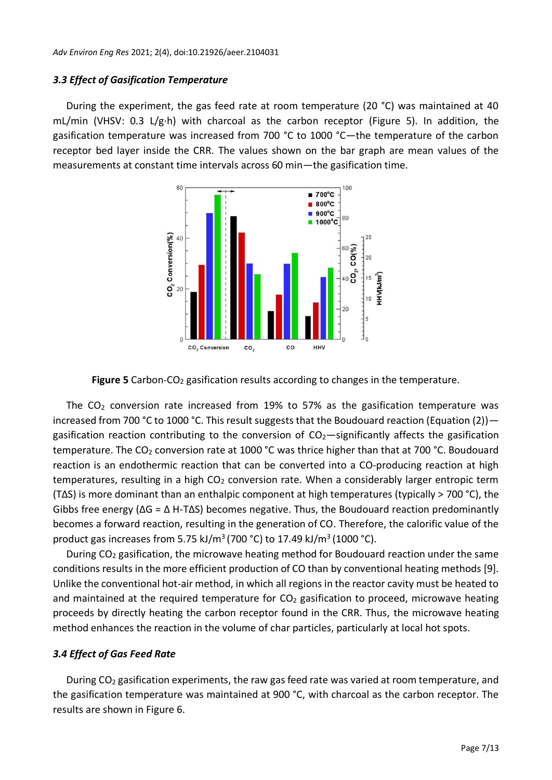#### *3.3 Effect of Gasification Temperature*

During the experiment, the gas feed rate at room temperature (20 °C) was maintained at 40 mL/min (VHSV: 0.3 L/g·h) with charcoal as the carbon receptor (Figure 5). In addition, the gasification temperature was increased from 700 °C to 1000 °C—the temperature of the carbon receptor bed layer inside the CRR. The values shown on the bar graph are mean values of the measurements at constant time intervals across 60 min—the gasification time.



Figure 5 Carbon-CO<sub>2</sub> gasification results according to changes in the temperature.

The  $CO<sub>2</sub>$  conversion rate increased from 19% to 57% as the gasification temperature was increased from 700 °C to 1000 °C. This result suggests that the Boudouard reaction (Equation (2)) gasification reaction contributing to the conversion of  $CO<sub>2</sub>$  -significantly affects the gasification temperature. The CO<sub>2</sub> conversion rate at 1000 °C was thrice higher than that at 700 °C. Boudouard reaction is an endothermic reaction that can be converted into a CO-producing reaction at high temperatures, resulting in a high CO<sub>2</sub> conversion rate. When a considerably larger entropic term (TΔS) is more dominant than an enthalpic component at high temperatures (typically > 700 °C), the Gibbs free energy ( $\Delta G = \Delta H$ -T $\Delta S$ ) becomes negative. Thus, the Boudouard reaction predominantly becomes a forward reaction, resulting in the generation of CO. Therefore, the calorific value of the product gas increases from 5.75 kJ/m<sup>3</sup> (700 °C) to 17.49 kJ/m<sup>3</sup> (1000 °C).

During CO<sup>2</sup> gasification, the microwave heating method for Boudouard reaction under the same conditions results in the more efficient production of CO than by conventional heating methods [9]. Unlike the conventional hot-air method, in which all regions in the reactor cavity must be heated to and maintained at the required temperature for  $CO<sub>2</sub>$  gasification to proceed, microwave heating proceeds by directly heating the carbon receptor found in the CRR. Thus, the microwave heating method enhances the reaction in the volume of char particles, particularly at local hot spots.

#### *3.4 Effect of Gas Feed Rate*

During CO<sub>2</sub> gasification experiments, the raw gas feed rate was varied at room temperature, and the gasification temperature was maintained at 900 °C, with charcoal as the carbon receptor. The results are shown in Figure 6.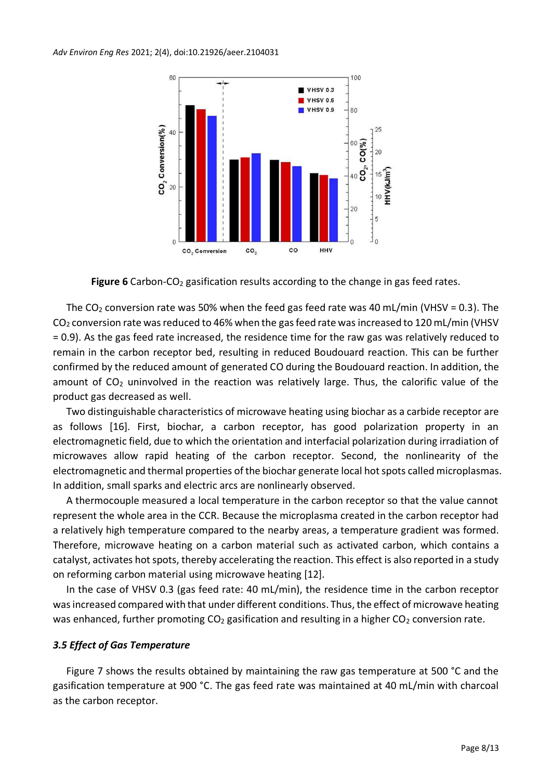

Figure 6 Carbon-CO<sub>2</sub> gasification results according to the change in gas feed rates.

The CO<sub>2</sub> conversion rate was 50% when the feed gas feed rate was 40 mL/min (VHSV = 0.3). The CO<sup>2</sup> conversion rate was reduced to 46% when the gas feed rate was increased to 120 mL/min (VHSV = 0.9). As the gas feed rate increased, the residence time for the raw gas was relatively reduced to remain in the carbon receptor bed, resulting in reduced Boudouard reaction. This can be further confirmed by the reduced amount of generated CO during the Boudouard reaction. In addition, the amount of  $CO<sub>2</sub>$  uninvolved in the reaction was relatively large. Thus, the calorific value of the product gas decreased as well.

Two distinguishable characteristics of microwave heating using biochar as a carbide receptor are as follows [16]. First, biochar, a carbon receptor, has good polarization property in an electromagnetic field, due to which the orientation and interfacial polarization during irradiation of microwaves allow rapid heating of the carbon receptor. Second, the nonlinearity of the electromagnetic and thermal properties of the biochar generate local hot spots called microplasmas. In addition, small sparks and electric arcs are nonlinearly observed.

A thermocouple measured a local temperature in the carbon receptor so that the value cannot represent the whole area in the CCR. Because the microplasma created in the carbon receptor had a relatively high temperature compared to the nearby areas, a temperature gradient was formed. Therefore, microwave heating on a carbon material such as activated carbon, which contains a catalyst, activates hot spots, thereby accelerating the reaction. This effect is also reported in a study on reforming carbon material using microwave heating [12].

In the case of VHSV 0.3 (gas feed rate: 40 mL/min), the residence time in the carbon receptor was increased compared with that under different conditions. Thus, the effect of microwave heating was enhanced, further promoting  $CO<sub>2</sub>$  gasification and resulting in a higher  $CO<sub>2</sub>$  conversion rate.

## *3.5 Effect of Gas Temperature*

Figure 7 shows the results obtained by maintaining the raw gas temperature at 500 °C and the gasification temperature at 900 °C. The gas feed rate was maintained at 40 mL/min with charcoal as the carbon receptor.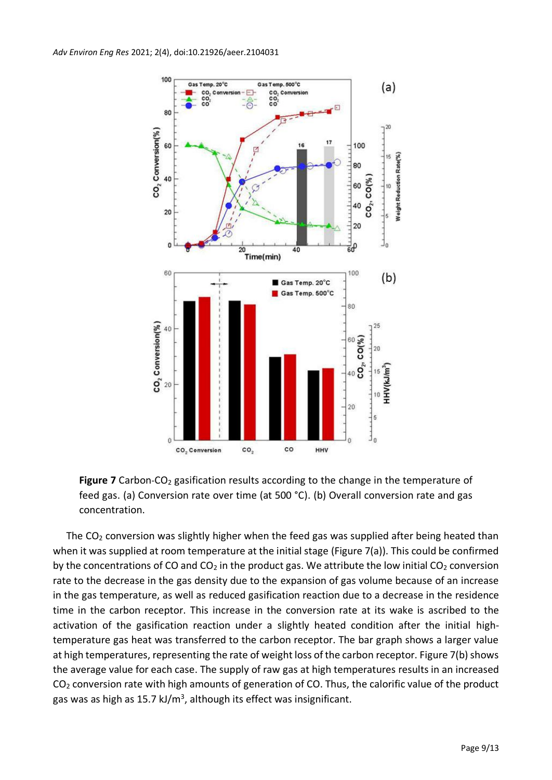

Figure 7 Carbon-CO<sub>2</sub> gasification results according to the change in the temperature of feed gas. (a) Conversion rate over time (at 500 °C). (b) Overall conversion rate and gas concentration.

The  $CO<sub>2</sub>$  conversion was slightly higher when the feed gas was supplied after being heated than when it was supplied at room temperature at the initial stage (Figure 7(a)). This could be confirmed by the concentrations of CO and  $CO<sub>2</sub>$  in the product gas. We attribute the low initial  $CO<sub>2</sub>$  conversion rate to the decrease in the gas density due to the expansion of gas volume because of an increase in the gas temperature, as well as reduced gasification reaction due to a decrease in the residence time in the carbon receptor. This increase in the conversion rate at its wake is ascribed to the activation of the gasification reaction under a slightly heated condition after the initial hightemperature gas heat was transferred to the carbon receptor. The bar graph shows a larger value at high temperatures, representing the rate of weight loss of the carbon receptor. Figure 7(b) shows the average value for each case. The supply of raw gas at high temperatures results in an increased CO<sup>2</sup> conversion rate with high amounts of generation of CO. Thus, the calorific value of the product gas was as high as 15.7 kJ/m<sup>3</sup>, although its effect was insignificant.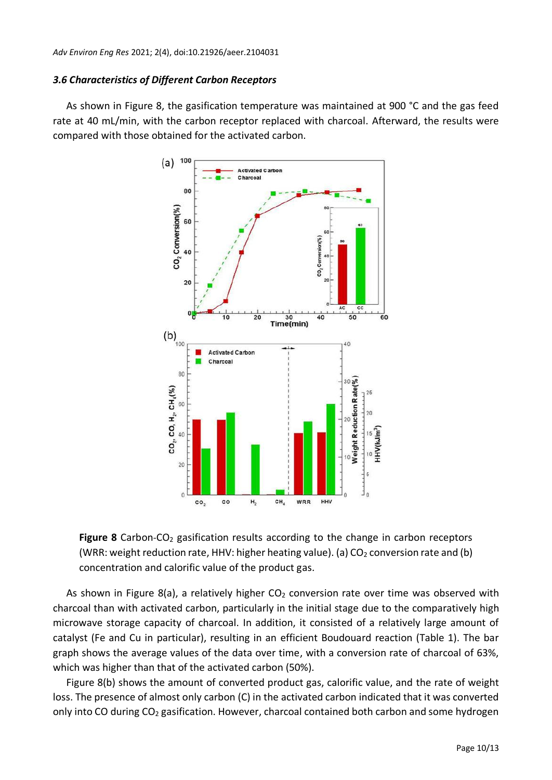## *3.6 Characteristics of Different Carbon Receptors*

As shown in Figure 8, the gasification temperature was maintained at 900 °C and the gas feed rate at 40 mL/min, with the carbon receptor replaced with charcoal. Afterward, the results were compared with those obtained for the activated carbon.



**Figure 8** Carbon-CO<sub>2</sub> gasification results according to the change in carbon receptors (WRR: weight reduction rate, HHV: higher heating value). (a)  $CO<sub>2</sub>$  conversion rate and (b) concentration and calorific value of the product gas.

As shown in Figure 8(a), a relatively higher  $CO<sub>2</sub>$  conversion rate over time was observed with charcoal than with activated carbon, particularly in the initial stage due to the comparatively high microwave storage capacity of charcoal. In addition, it consisted of a relatively large amount of catalyst (Fe and Cu in particular), resulting in an efficient Boudouard reaction (Table 1). The bar graph shows the average values of the data over time, with a conversion rate of charcoal of 63%, which was higher than that of the activated carbon (50%).

Figure 8(b) shows the amount of converted product gas, calorific value, and the rate of weight loss. The presence of almost only carbon (C) in the activated carbon indicated that it was converted only into CO during CO<sub>2</sub> gasification. However, charcoal contained both carbon and some hydrogen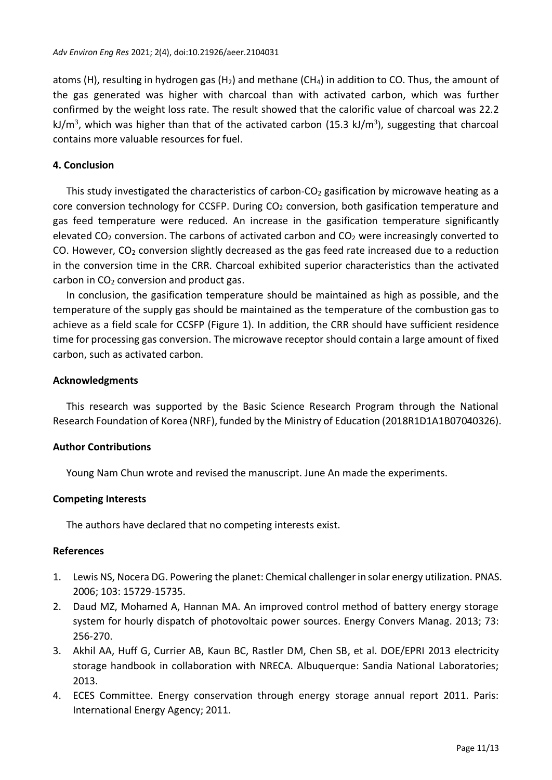atoms (H), resulting in hydrogen gas (H<sub>2</sub>) and methane (CH<sub>4</sub>) in addition to CO. Thus, the amount of the gas generated was higher with charcoal than with activated carbon, which was further confirmed by the weight loss rate. The result showed that the calorific value of charcoal was 22.2 kJ/m<sup>3</sup>, which was higher than that of the activated carbon (15.3 kJ/m<sup>3</sup>), suggesting that charcoal contains more valuable resources for fuel.

## **4. Conclusion**

This study investigated the characteristics of carbon- $CO<sub>2</sub>$  gasification by microwave heating as a core conversion technology for CCSFP. During  $CO<sub>2</sub>$  conversion, both gasification temperature and gas feed temperature were reduced. An increase in the gasification temperature significantly elevated  $CO<sub>2</sub>$  conversion. The carbons of activated carbon and  $CO<sub>2</sub>$  were increasingly converted to CO. However,  $CO<sub>2</sub>$  conversion slightly decreased as the gas feed rate increased due to a reduction in the conversion time in the CRR. Charcoal exhibited superior characteristics than the activated carbon in  $CO<sub>2</sub>$  conversion and product gas.

In conclusion, the gasification temperature should be maintained as high as possible, and the temperature of the supply gas should be maintained as the temperature of the combustion gas to achieve as a field scale for CCSFP (Figure 1). In addition, the CRR should have sufficient residence time for processing gas conversion. The microwave receptor should contain a large amount of fixed carbon, such as activated carbon.

#### **Acknowledgments**

This research was supported by the Basic Science Research Program through the National Research Foundation of Korea (NRF), funded by the Ministry of Education (2018R1D1A1B07040326).

#### **Author Contributions**

Young Nam Chun wrote and revised the manuscript. June An made the experiments.

#### **Competing Interests**

The authors have declared that no competing interests exist.

#### **References**

- 1. Lewis NS, Nocera DG. Powering the planet: Chemical challenger in solar energy utilization. PNAS. 2006; 103: 15729-15735.
- 2. Daud MZ, Mohamed A, Hannan MA. An improved control method of battery energy storage system for hourly dispatch of photovoltaic power sources. Energy Convers Manag. 2013; 73: 256-270.
- 3. Akhil AA, Huff G, Currier AB, Kaun BC, Rastler DM, Chen SB, et al. DOE/EPRI 2013 electricity storage handbook in collaboration with NRECA. Albuquerque: Sandia National Laboratories; 2013.
- 4. ECES Committee. Energy conservation through energy storage annual report 2011. Paris: International Energy Agency; 2011.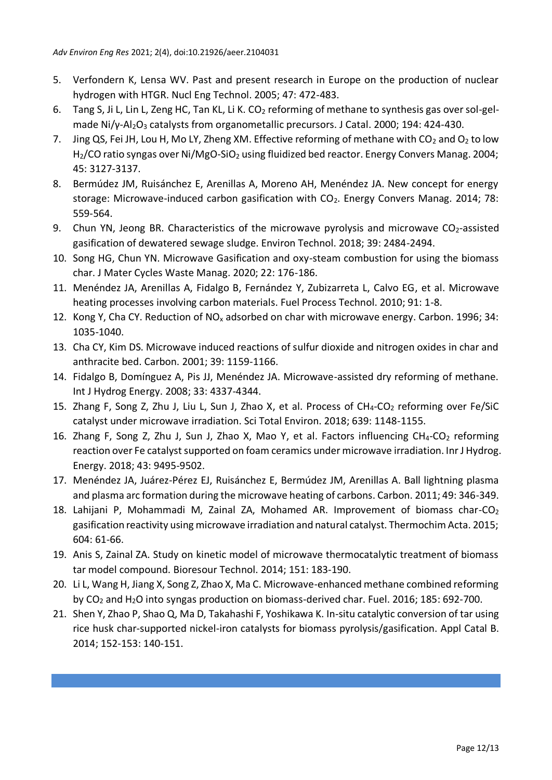- 5. Verfondern K, Lensa WV. Past and present research in Europe on the production of nuclear hydrogen with HTGR. Nucl Eng Technol. 2005; 47: 472-483.
- 6. Tang S, Ji L, Lin L, Zeng HC, Tan KL, Li K. CO<sub>2</sub> reforming of methane to synthesis gas over sol-gelmade Ni/γ-Al<sub>2</sub>O<sub>3</sub> catalysts from organometallic precursors. J Catal. 2000; 194: 424-430.
- 7. Jing QS, Fei JH, Lou H, Mo LY, Zheng XM. Effective reforming of methane with  $CO<sub>2</sub>$  and  $O<sub>2</sub>$  to low H<sub>2</sub>/CO ratio syngas over Ni/MgO-SiO<sub>2</sub> using fluidized bed reactor. Energy Convers Manag. 2004; 45: 3127-3137.
- 8. Bermúdez JM, Ruisánchez E, Arenillas A, Moreno AH, Menéndez JA. New concept for energy storage: Microwave-induced carbon gasification with CO<sub>2</sub>. Energy Convers Manag. 2014; 78: 559-564.
- 9. Chun YN, Jeong BR. Characteristics of the microwave pyrolysis and microwave  $CO<sub>2</sub>$ -assisted gasification of dewatered sewage sludge. Environ Technol. 2018; 39: 2484-2494.
- 10. Song HG, Chun YN. Microwave Gasification and oxy-steam combustion for using the biomass char. J Mater Cycles Waste Manag. 2020; 22: 176-186.
- 11. Menéndez JA, Arenillas A, Fidalgo B, Fernández Y, Zubizarreta L, Calvo EG, et al. Microwave heating processes involving carbon materials. Fuel Process Technol. 2010; 91: 1-8.
- 12. Kong Y, Cha CY. Reduction of  $NO_x$  adsorbed on char with microwave energy. Carbon. 1996; 34: 1035-1040.
- 13. Cha CY, Kim DS. Microwave induced reactions of sulfur dioxide and nitrogen oxides in char and anthracite bed. Carbon. 2001; 39: 1159-1166.
- 14. Fidalgo B, Domínguez A, Pis JJ, Menéndez JA. Microwave-assisted dry reforming of methane. Int J Hydrog Energy. 2008; 33: 4337-4344.
- 15. Zhang F, Song Z, Zhu J, Liu L, Sun J, Zhao X, et al. Process of CH<sub>4</sub>-CO<sub>2</sub> reforming over Fe/SiC catalyst under microwave irradiation. Sci Total Environ. 2018; 639: 1148-1155.
- 16. Zhang F, Song Z, Zhu J, Sun J, Zhao X, Mao Y, et al. Factors influencing CH<sub>4</sub>-CO<sub>2</sub> reforming reaction over Fe catalyst supported on foam ceramics under microwave irradiation. Inr J Hydrog. Energy. 2018; 43: 9495-9502.
- 17. Menéndez JA, Juárez-Pérez EJ, Ruisánchez E, Bermúdez JM, Arenillas A. Ball lightning plasma and plasma arc formation during the microwave heating of carbons. Carbon. 2011; 49: 346-349.
- 18. Lahijani P, Mohammadi M, Zainal ZA, Mohamed AR. Improvement of biomass char-CO<sub>2</sub> gasification reactivity using microwave irradiation and natural catalyst. Thermochim Acta. 2015; 604: 61-66.
- 19. Anis S, Zainal ZA. Study on kinetic model of microwave thermocatalytic treatment of biomass tar model compound. Bioresour Technol. 2014; 151: 183-190.
- 20. Li L, Wang H, Jiang X, Song Z, Zhao X, Ma C. Microwave-enhanced methane combined reforming by CO<sup>2</sup> and H2O into syngas production on biomass-derived char. Fuel. 2016; 185: 692-700.
- 21. Shen Y, Zhao P, Shao Q, Ma D, Takahashi F, Yoshikawa K. In-situ catalytic conversion of tar using rice husk char-supported nickel-iron catalysts for biomass pyrolysis/gasification. Appl Catal B. 2014; 152-153: 140-151.